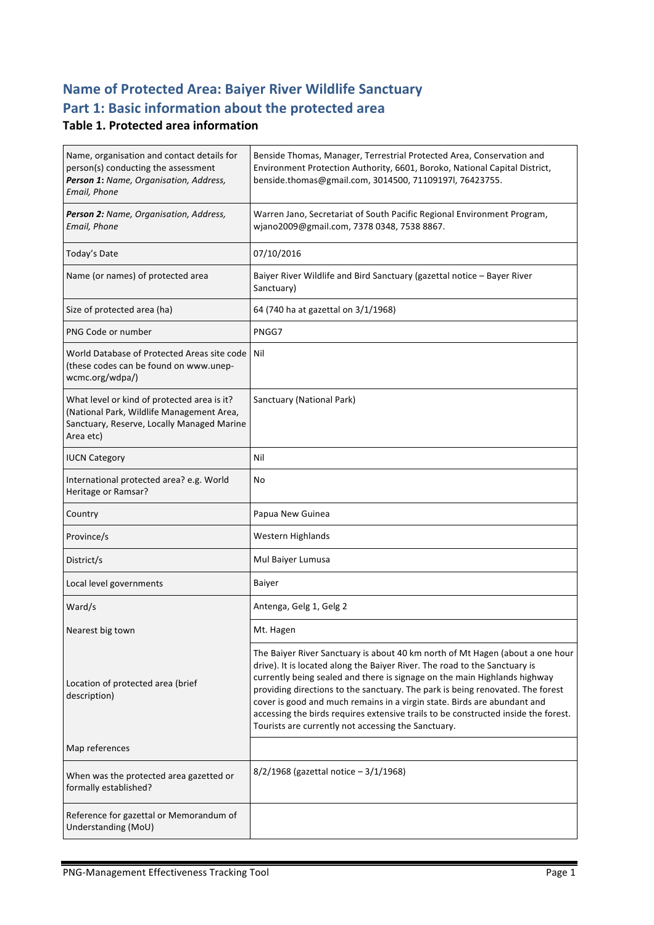# **Name of Protected Area: Baiyer River Wildlife Sanctuary** Part 1: Basic information about the protected area

#### **Table 1. Protected area information**

| Name, organisation and contact details for<br>person(s) conducting the assessment<br>Person 1: Name, Organisation, Address,<br>Email, Phone         | Benside Thomas, Manager, Terrestrial Protected Area, Conservation and<br>Environment Protection Authority, 6601, Boroko, National Capital District,<br>benside.thomas@gmail.com, 3014500, 71109197l, 76423755.                                                                                                                                                                                                                                                                                                                                      |
|-----------------------------------------------------------------------------------------------------------------------------------------------------|-----------------------------------------------------------------------------------------------------------------------------------------------------------------------------------------------------------------------------------------------------------------------------------------------------------------------------------------------------------------------------------------------------------------------------------------------------------------------------------------------------------------------------------------------------|
| Person 2: Name, Organisation, Address,<br>Email, Phone                                                                                              | Warren Jano, Secretariat of South Pacific Regional Environment Program,<br>wjano2009@gmail.com, 7378 0348, 7538 8867.                                                                                                                                                                                                                                                                                                                                                                                                                               |
| Today's Date                                                                                                                                        | 07/10/2016                                                                                                                                                                                                                                                                                                                                                                                                                                                                                                                                          |
| Name (or names) of protected area                                                                                                                   | Baiyer River Wildlife and Bird Sanctuary (gazettal notice - Bayer River<br>Sanctuary)                                                                                                                                                                                                                                                                                                                                                                                                                                                               |
| Size of protected area (ha)                                                                                                                         | 64 (740 ha at gazettal on 3/1/1968)                                                                                                                                                                                                                                                                                                                                                                                                                                                                                                                 |
| PNG Code or number                                                                                                                                  | PNGG7                                                                                                                                                                                                                                                                                                                                                                                                                                                                                                                                               |
| World Database of Protected Areas site code<br>(these codes can be found on www.unep-<br>wcmc.org/wdpa/)                                            | l Nil                                                                                                                                                                                                                                                                                                                                                                                                                                                                                                                                               |
| What level or kind of protected area is it?<br>(National Park, Wildlife Management Area,<br>Sanctuary, Reserve, Locally Managed Marine<br>Area etc) | Sanctuary (National Park)                                                                                                                                                                                                                                                                                                                                                                                                                                                                                                                           |
| <b>IUCN Category</b>                                                                                                                                | Nil                                                                                                                                                                                                                                                                                                                                                                                                                                                                                                                                                 |
| International protected area? e.g. World<br>Heritage or Ramsar?                                                                                     | No                                                                                                                                                                                                                                                                                                                                                                                                                                                                                                                                                  |
| Country                                                                                                                                             | Papua New Guinea                                                                                                                                                                                                                                                                                                                                                                                                                                                                                                                                    |
| Province/s                                                                                                                                          | Western Highlands                                                                                                                                                                                                                                                                                                                                                                                                                                                                                                                                   |
| District/s                                                                                                                                          | Mul Baiyer Lumusa                                                                                                                                                                                                                                                                                                                                                                                                                                                                                                                                   |
| Local level governments                                                                                                                             | Baiyer                                                                                                                                                                                                                                                                                                                                                                                                                                                                                                                                              |
| Ward/s                                                                                                                                              | Antenga, Gelg 1, Gelg 2                                                                                                                                                                                                                                                                                                                                                                                                                                                                                                                             |
| Nearest big town                                                                                                                                    | Mt. Hagen                                                                                                                                                                                                                                                                                                                                                                                                                                                                                                                                           |
| Location of protected area (brief<br>description)                                                                                                   | The Baiyer River Sanctuary is about 40 km north of Mt Hagen (about a one hour<br>drive). It is located along the Baiyer River. The road to the Sanctuary is<br>currently being sealed and there is signage on the main Highlands highway<br>providing directions to the sanctuary. The park is being renovated. The forest<br>cover is good and much remains in a virgin state. Birds are abundant and<br>accessing the birds requires extensive trails to be constructed inside the forest.<br>Tourists are currently not accessing the Sanctuary. |
| Map references                                                                                                                                      |                                                                                                                                                                                                                                                                                                                                                                                                                                                                                                                                                     |
| When was the protected area gazetted or<br>formally established?                                                                                    | $8/2/1968$ (gazettal notice - 3/1/1968)                                                                                                                                                                                                                                                                                                                                                                                                                                                                                                             |
| Reference for gazettal or Memorandum of<br>Understanding (MoU)                                                                                      |                                                                                                                                                                                                                                                                                                                                                                                                                                                                                                                                                     |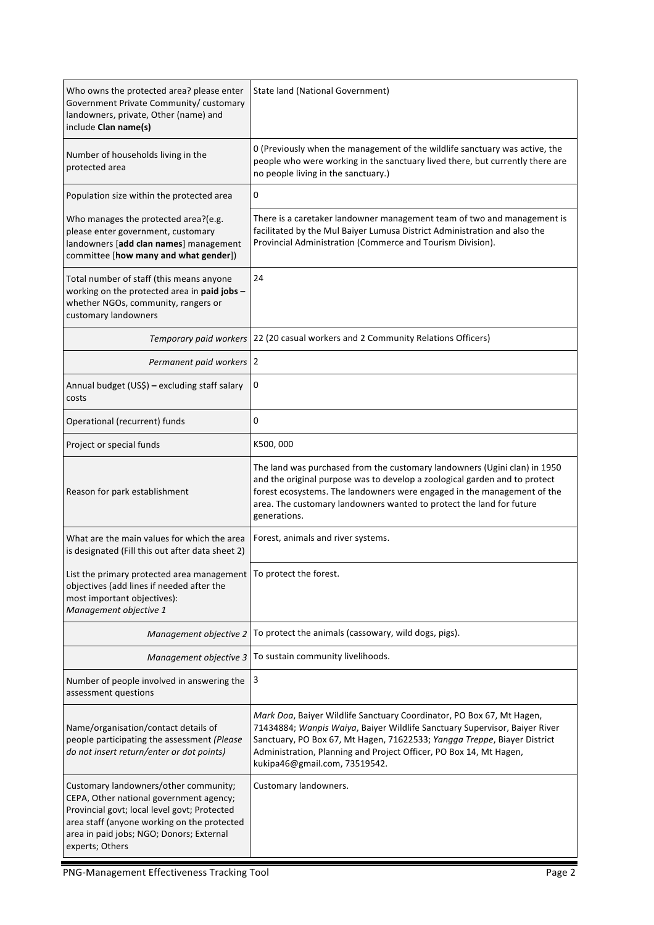| Who owns the protected area? please enter<br>Government Private Community/ customary<br>landowners, private, Other (name) and<br>include Clan name(s)                                                                                          | State land (National Government)                                                                                                                                                                                                                                                                                                       |  |
|------------------------------------------------------------------------------------------------------------------------------------------------------------------------------------------------------------------------------------------------|----------------------------------------------------------------------------------------------------------------------------------------------------------------------------------------------------------------------------------------------------------------------------------------------------------------------------------------|--|
| Number of households living in the<br>protected area                                                                                                                                                                                           | 0 (Previously when the management of the wildlife sanctuary was active, the<br>people who were working in the sanctuary lived there, but currently there are<br>no people living in the sanctuary.)                                                                                                                                    |  |
| Population size within the protected area                                                                                                                                                                                                      | 0                                                                                                                                                                                                                                                                                                                                      |  |
| Who manages the protected area?(e.g.<br>please enter government, customary<br>landowners [add clan names] management<br>committee [how many and what gender])                                                                                  | There is a caretaker landowner management team of two and management is<br>facilitated by the Mul Baiyer Lumusa District Administration and also the<br>Provincial Administration (Commerce and Tourism Division).                                                                                                                     |  |
| Total number of staff (this means anyone<br>working on the protected area in paid jobs -<br>whether NGOs, community, rangers or<br>customary landowners                                                                                        | 24                                                                                                                                                                                                                                                                                                                                     |  |
| Temporary paid workers                                                                                                                                                                                                                         | 22 (20 casual workers and 2 Community Relations Officers)                                                                                                                                                                                                                                                                              |  |
| Permanent paid workers 2                                                                                                                                                                                                                       |                                                                                                                                                                                                                                                                                                                                        |  |
| Annual budget (US\$) - excluding staff salary<br>costs                                                                                                                                                                                         | 0                                                                                                                                                                                                                                                                                                                                      |  |
| Operational (recurrent) funds                                                                                                                                                                                                                  | 0                                                                                                                                                                                                                                                                                                                                      |  |
| Project or special funds                                                                                                                                                                                                                       | K500,000                                                                                                                                                                                                                                                                                                                               |  |
| Reason for park establishment                                                                                                                                                                                                                  | The land was purchased from the customary landowners (Ugini clan) in 1950<br>and the original purpose was to develop a zoological garden and to protect<br>forest ecosystems. The landowners were engaged in the management of the<br>area. The customary landowners wanted to protect the land for future<br>generations.             |  |
| What are the main values for which the area<br>is designated (Fill this out after data sheet 2)                                                                                                                                                | Forest, animals and river systems.                                                                                                                                                                                                                                                                                                     |  |
| List the primary protected area management<br>objectives (add lines if needed after the<br>most important objectives):<br>Management objective 1                                                                                               | To protect the forest.                                                                                                                                                                                                                                                                                                                 |  |
| Management objective 2                                                                                                                                                                                                                         | To protect the animals (cassowary, wild dogs, pigs).                                                                                                                                                                                                                                                                                   |  |
|                                                                                                                                                                                                                                                | Management objective 3   To sustain community livelihoods.                                                                                                                                                                                                                                                                             |  |
| Number of people involved in answering the<br>assessment questions                                                                                                                                                                             | 3                                                                                                                                                                                                                                                                                                                                      |  |
| Name/organisation/contact details of<br>people participating the assessment (Please<br>do not insert return/enter or dot points)                                                                                                               | Mark Doa, Baiyer Wildlife Sanctuary Coordinator, PO Box 67, Mt Hagen,<br>71434884; Wanpis Waiya, Baiyer Wildlife Sanctuary Supervisor, Baiyer River<br>Sanctuary, PO Box 67, Mt Hagen, 71622533; Yangga Treppe, Biayer District<br>Administration, Planning and Project Officer, PO Box 14, Mt Hagen,<br>kukipa46@gmail.com, 73519542. |  |
| Customary landowners/other community;<br>CEPA, Other national government agency;<br>Provincial govt; local level govt; Protected<br>area staff (anyone working on the protected<br>area in paid jobs; NGO; Donors; External<br>experts; Others | Customary landowners.                                                                                                                                                                                                                                                                                                                  |  |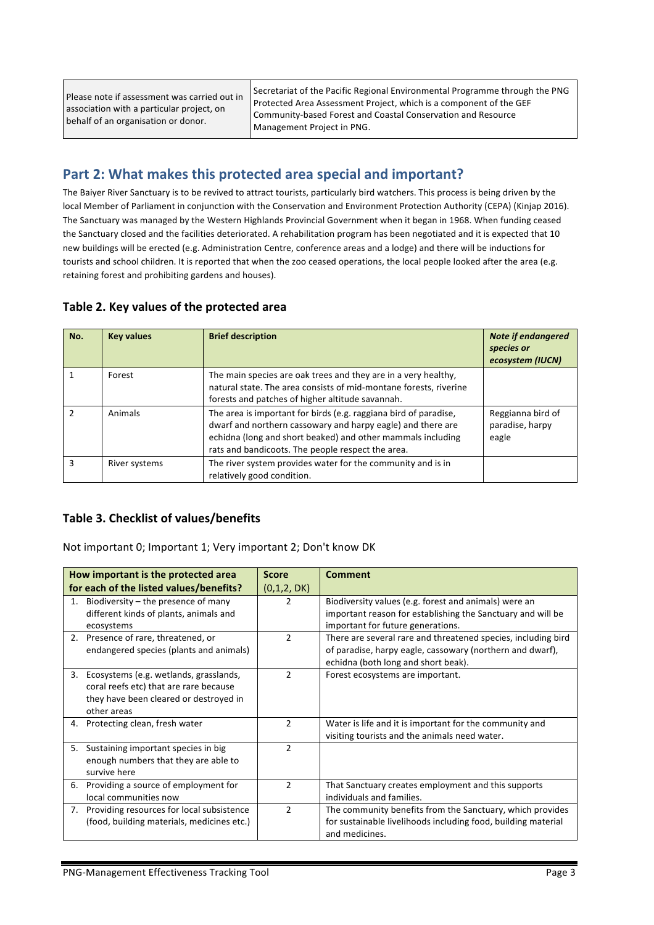| Please note if assessment was carried out in<br>association with a particular project, on<br>behalf of an organisation or donor. | Secretariat of the Pacific Regional Environmental Programme through the PNG<br><b>Protected Area Assessment Project, which is a component of the GEF</b><br>Community-based Forest and Coastal Conservation and Resource<br>Management Project in PNG. |
|----------------------------------------------------------------------------------------------------------------------------------|--------------------------------------------------------------------------------------------------------------------------------------------------------------------------------------------------------------------------------------------------------|
|----------------------------------------------------------------------------------------------------------------------------------|--------------------------------------------------------------------------------------------------------------------------------------------------------------------------------------------------------------------------------------------------------|

### Part 2: What makes this protected area special and important?

The Baiyer River Sanctuary is to be revived to attract tourists, particularly bird watchers. This process is being driven by the local Member of Parliament in conjunction with the Conservation and Environment Protection Authority (CEPA) (Kinjap 2016). The Sanctuary was managed by the Western Highlands Provincial Government when it began in 1968. When funding ceased the Sanctuary closed and the facilities deteriorated. A rehabilitation program has been negotiated and it is expected that 10 new buildings will be erected (e.g. Administration Centre, conference areas and a lodge) and there will be inductions for tourists and school children. It is reported that when the zoo ceased operations, the local people looked after the area (e.g. retaining forest and prohibiting gardens and houses).

#### Table 2. Key values of the protected area

| No. | <b>Key values</b> | <b>Brief description</b>                                                                                                                                                                                                                            | <b>Note if endangered</b><br>species or<br>ecosystem (IUCN) |
|-----|-------------------|-----------------------------------------------------------------------------------------------------------------------------------------------------------------------------------------------------------------------------------------------------|-------------------------------------------------------------|
|     | Forest            | The main species are oak trees and they are in a very healthy,<br>natural state. The area consists of mid-montane forests, riverine<br>forests and patches of higher altitude savannah.                                                             |                                                             |
|     | Animals           | The area is important for birds (e.g. raggiana bird of paradise,<br>dwarf and northern cassowary and harpy eagle) and there are<br>echidna (long and short beaked) and other mammals including<br>rats and bandicoots. The people respect the area. | Reggianna bird of<br>paradise, harpy<br>eagle               |
|     | River systems     | The river system provides water for the community and is in<br>relatively good condition.                                                                                                                                                           |                                                             |

#### Table 3. Checklist of values/benefits

Not important 0; Important 1; Very important 2; Don't know DK

|    | How important is the protected area                                                                                                       | <b>Score</b>   | <b>Comment</b>                                                                                                                                                    |
|----|-------------------------------------------------------------------------------------------------------------------------------------------|----------------|-------------------------------------------------------------------------------------------------------------------------------------------------------------------|
|    | for each of the listed values/benefits?                                                                                                   | (0,1,2, DK)    |                                                                                                                                                                   |
| 1. | Biodiversity $-$ the presence of many<br>different kinds of plants, animals and<br>ecosystems                                             | 2              | Biodiversity values (e.g. forest and animals) were an<br>important reason for establishing the Sanctuary and will be<br>important for future generations.         |
|    | 2. Presence of rare, threatened, or<br>endangered species (plants and animals)                                                            | $\mathcal{P}$  | There are several rare and threatened species, including bird<br>of paradise, harpy eagle, cassowary (northern and dwarf),<br>echidna (both long and short beak). |
| 3. | Ecosystems (e.g. wetlands, grasslands,<br>coral reefs etc) that are rare because<br>they have been cleared or destroyed in<br>other areas | $\mathcal{P}$  | Forest ecosystems are important.                                                                                                                                  |
|    | 4. Protecting clean, fresh water                                                                                                          | 2              | Water is life and it is important for the community and<br>visiting tourists and the animals need water.                                                          |
| 5. | Sustaining important species in big<br>enough numbers that they are able to<br>survive here                                               | $\mathfrak{p}$ |                                                                                                                                                                   |
| 6. | Providing a source of employment for<br>local communities now                                                                             | 2              | That Sanctuary creates employment and this supports<br>individuals and families.                                                                                  |
| 7. | Providing resources for local subsistence<br>(food, building materials, medicines etc.)                                                   | $\mathcal{P}$  | The community benefits from the Sanctuary, which provides<br>for sustainable livelihoods including food, building material<br>and medicines.                      |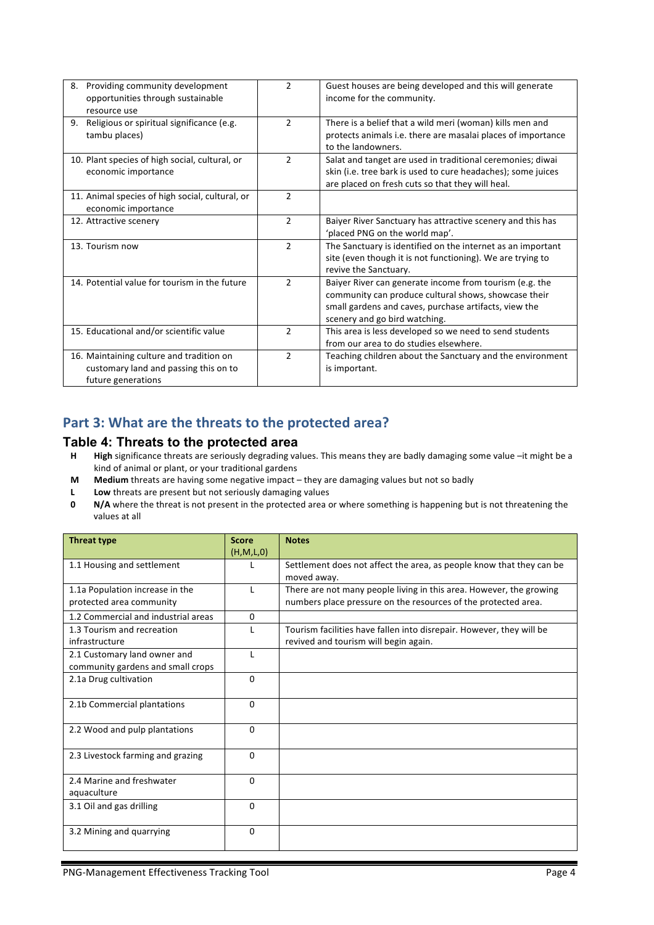| Providing community development<br>8.<br>opportunities through sustainable                              | $\overline{2}$ | Guest houses are being developed and this will generate<br>income for the community.                                                                                                                      |
|---------------------------------------------------------------------------------------------------------|----------------|-----------------------------------------------------------------------------------------------------------------------------------------------------------------------------------------------------------|
| resource use                                                                                            |                |                                                                                                                                                                                                           |
| Religious or spiritual significance (e.g.<br>9.<br>tambu places)                                        | $\overline{2}$ | There is a belief that a wild meri (woman) kills men and<br>protects animals i.e. there are masalai places of importance<br>to the landowners.                                                            |
| 10. Plant species of high social, cultural, or<br>economic importance                                   | $\mathcal{P}$  | Salat and tanget are used in traditional ceremonies; diwai<br>skin (i.e. tree bark is used to cure headaches); some juices<br>are placed on fresh cuts so that they will heal.                            |
| 11. Animal species of high social, cultural, or<br>economic importance                                  | $\mathcal{P}$  |                                                                                                                                                                                                           |
| 12. Attractive scenery                                                                                  | $\overline{2}$ | Baiyer River Sanctuary has attractive scenery and this has<br>'placed PNG on the world map'.                                                                                                              |
| 13. Tourism now                                                                                         | $\overline{2}$ | The Sanctuary is identified on the internet as an important<br>site (even though it is not functioning). We are trying to<br>revive the Sanctuary.                                                        |
| 14. Potential value for tourism in the future                                                           | $\mathcal{P}$  | Baiyer River can generate income from tourism (e.g. the<br>community can produce cultural shows, showcase their<br>small gardens and caves, purchase artifacts, view the<br>scenery and go bird watching. |
| 15. Educational and/or scientific value                                                                 | 2              | This area is less developed so we need to send students<br>from our area to do studies elsewhere.                                                                                                         |
| 16. Maintaining culture and tradition on<br>customary land and passing this on to<br>future generations | 2              | Teaching children about the Sanctuary and the environment<br>is important.                                                                                                                                |

## Part 3: What are the threats to the protected area?

#### **Table 4: Threats to the protected area**

- H High significance threats are seriously degrading values. This means they are badly damaging some value -it might be a kind of animal or plant, or your traditional gardens
- **M Medium** threats are having some negative impact they are damaging values but not so badly
- **L** Low threats are present but not seriously damaging values<br>**0** N/A where the threat is not present in the protected area c
- **N/A** where the threat is not present in the protected area or where something is happening but is not threatening the values at all

| <b>Threat type</b>                  | <b>Score</b> | <b>Notes</b>                                                         |
|-------------------------------------|--------------|----------------------------------------------------------------------|
|                                     | (H,M,L,0)    |                                                                      |
| 1.1 Housing and settlement          |              | Settlement does not affect the area, as people know that they can be |
|                                     |              | moved away.                                                          |
| 1.1a Population increase in the     |              | There are not many people living in this area. However, the growing  |
| protected area community            |              | numbers place pressure on the resources of the protected area.       |
| 1.2 Commercial and industrial areas | $\mathbf{0}$ |                                                                      |
| 1.3 Tourism and recreation          |              | Tourism facilities have fallen into disrepair. However, they will be |
| infrastructure                      |              | revived and tourism will begin again.                                |
| 2.1 Customary land owner and        | L            |                                                                      |
| community gardens and small crops   |              |                                                                      |
| 2.1a Drug cultivation               | 0            |                                                                      |
|                                     |              |                                                                      |
| 2.1b Commercial plantations         | 0            |                                                                      |
|                                     |              |                                                                      |
| 2.2 Wood and pulp plantations       | $\Omega$     |                                                                      |
|                                     |              |                                                                      |
| 2.3 Livestock farming and grazing   | $\Omega$     |                                                                      |
|                                     |              |                                                                      |
| 2.4 Marine and freshwater           | $\Omega$     |                                                                      |
| aquaculture                         |              |                                                                      |
| 3.1 Oil and gas drilling            | $\Omega$     |                                                                      |
|                                     |              |                                                                      |
| 3.2 Mining and quarrying            | 0            |                                                                      |
|                                     |              |                                                                      |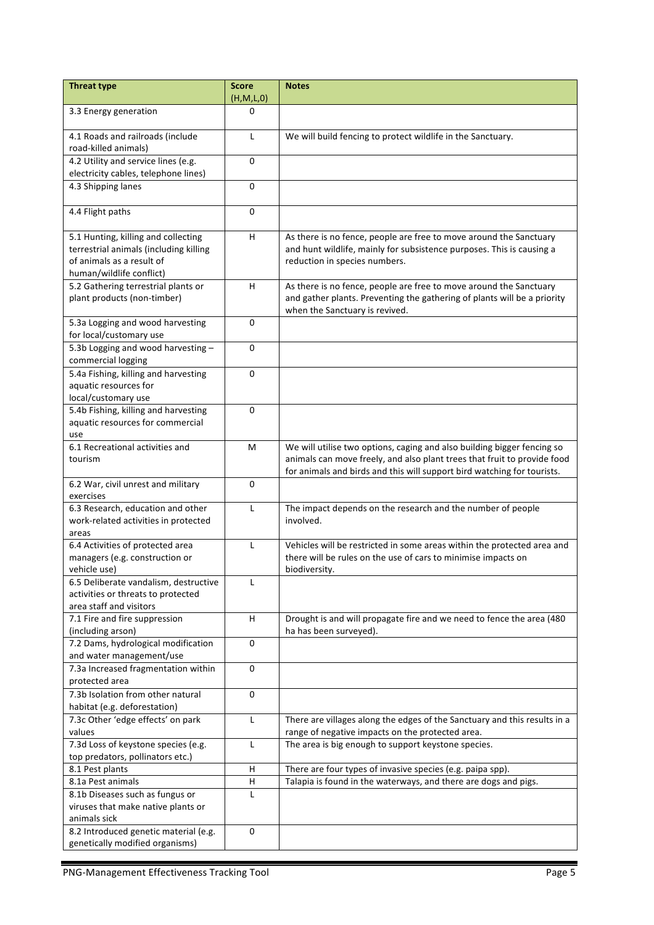| <b>Threat type</b>                                       | <b>Score</b><br>(H,M,L,0) | <b>Notes</b>                                                              |
|----------------------------------------------------------|---------------------------|---------------------------------------------------------------------------|
|                                                          | 0                         |                                                                           |
| 3.3 Energy generation                                    |                           |                                                                           |
| 4.1 Roads and railroads (include<br>road-killed animals) | L                         | We will build fencing to protect wildlife in the Sanctuary.               |
| 4.2 Utility and service lines (e.g.                      | 0                         |                                                                           |
| electricity cables, telephone lines)                     |                           |                                                                           |
| 4.3 Shipping lanes                                       | 0                         |                                                                           |
|                                                          |                           |                                                                           |
| 4.4 Flight paths                                         | 0                         |                                                                           |
| 5.1 Hunting, killing and collecting                      | H                         | As there is no fence, people are free to move around the Sanctuary        |
| terrestrial animals (including killing                   |                           | and hunt wildlife, mainly for subsistence purposes. This is causing a     |
| of animals as a result of                                |                           | reduction in species numbers.                                             |
| human/wildlife conflict)                                 |                           |                                                                           |
| 5.2 Gathering terrestrial plants or                      | H                         | As there is no fence, people are free to move around the Sanctuary        |
| plant products (non-timber)                              |                           | and gather plants. Preventing the gathering of plants will be a priority  |
|                                                          |                           | when the Sanctuary is revived.                                            |
| 5.3a Logging and wood harvesting                         | 0                         |                                                                           |
| for local/customary use                                  |                           |                                                                           |
| 5.3b Logging and wood harvesting -<br>commercial logging | 0                         |                                                                           |
| 5.4a Fishing, killing and harvesting                     | $\Omega$                  |                                                                           |
| aquatic resources for                                    |                           |                                                                           |
| local/customary use                                      |                           |                                                                           |
| 5.4b Fishing, killing and harvesting                     | 0                         |                                                                           |
| aquatic resources for commercial                         |                           |                                                                           |
| use                                                      |                           |                                                                           |
| 6.1 Recreational activities and                          | M                         | We will utilise two options, caging and also building bigger fencing so   |
| tourism                                                  |                           | animals can move freely, and also plant trees that fruit to provide food  |
|                                                          |                           | for animals and birds and this will support bird watching for tourists.   |
| 6.2 War, civil unrest and military                       | 0                         |                                                                           |
| exercises                                                |                           |                                                                           |
| 6.3 Research, education and other                        | L                         | The impact depends on the research and the number of people               |
| work-related activities in protected                     |                           | involved.                                                                 |
| areas                                                    |                           |                                                                           |
| 6.4 Activities of protected area                         | L                         | Vehicles will be restricted in some areas within the protected area and   |
| managers (e.g. construction or                           |                           | there will be rules on the use of cars to minimise impacts on             |
| vehicle use)                                             |                           | biodiversity.                                                             |
| 6.5 Deliberate vandalism, destructive                    | L                         |                                                                           |
| activities or threats to protected                       |                           |                                                                           |
| area staff and visitors                                  |                           |                                                                           |
| 7.1 Fire and fire suppression                            | H                         | Drought is and will propagate fire and we need to fence the area (480     |
| (including arson)<br>7.2 Dams, hydrological modification | 0                         | ha has been surveyed).                                                    |
| and water management/use                                 |                           |                                                                           |
| 7.3a Increased fragmentation within                      | $\mathbf 0$               |                                                                           |
| protected area                                           |                           |                                                                           |
| 7.3b Isolation from other natural                        | $\mathbf 0$               |                                                                           |
| habitat (e.g. deforestation)                             |                           |                                                                           |
| 7.3c Other 'edge effects' on park                        | L                         | There are villages along the edges of the Sanctuary and this results in a |
| values                                                   |                           | range of negative impacts on the protected area.                          |
| 7.3d Loss of keystone species (e.g.                      | L                         | The area is big enough to support keystone species.                       |
| top predators, pollinators etc.)                         |                           |                                                                           |
| 8.1 Pest plants                                          | Н                         | There are four types of invasive species (e.g. paipa spp).                |
| 8.1a Pest animals                                        | Н                         | Talapia is found in the waterways, and there are dogs and pigs.           |
| 8.1b Diseases such as fungus or                          | L                         |                                                                           |
| viruses that make native plants or                       |                           |                                                                           |
| animals sick                                             |                           |                                                                           |
| 8.2 Introduced genetic material (e.g.                    | $\mathbf 0$               |                                                                           |
| genetically modified organisms)                          |                           |                                                                           |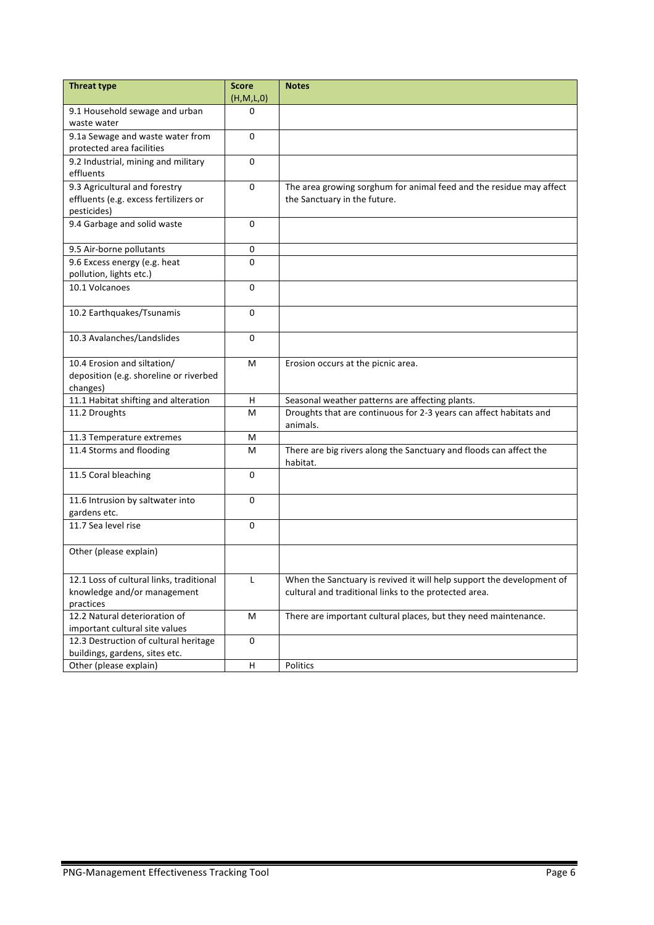| <b>Threat type</b>                       | <b>Score</b> | <b>Notes</b>                                                          |
|------------------------------------------|--------------|-----------------------------------------------------------------------|
|                                          | (H,M,L,0)    |                                                                       |
| 9.1 Household sewage and urban           | 0            |                                                                       |
| waste water                              |              |                                                                       |
| 9.1a Sewage and waste water from         | $\Omega$     |                                                                       |
| protected area facilities                |              |                                                                       |
| 9.2 Industrial, mining and military      | $\Omega$     |                                                                       |
| effluents                                |              |                                                                       |
| 9.3 Agricultural and forestry            | $\mathbf{0}$ | The area growing sorghum for animal feed and the residue may affect   |
| effluents (e.g. excess fertilizers or    |              | the Sanctuary in the future.                                          |
| pesticides)                              |              |                                                                       |
| 9.4 Garbage and solid waste              | 0            |                                                                       |
|                                          |              |                                                                       |
| 9.5 Air-borne pollutants                 | 0            |                                                                       |
| 9.6 Excess energy (e.g. heat             | 0            |                                                                       |
| pollution, lights etc.)                  |              |                                                                       |
| 10.1 Volcanoes                           | $\Omega$     |                                                                       |
|                                          |              |                                                                       |
| 10.2 Earthquakes/Tsunamis                | $\Omega$     |                                                                       |
|                                          |              |                                                                       |
| 10.3 Avalanches/Landslides               | $\Omega$     |                                                                       |
|                                          |              |                                                                       |
| 10.4 Erosion and siltation/              | М            | Erosion occurs at the picnic area.                                    |
| deposition (e.g. shoreline or riverbed   |              |                                                                       |
| changes)                                 |              |                                                                       |
| 11.1 Habitat shifting and alteration     | H            | Seasonal weather patterns are affecting plants.                       |
| 11.2 Droughts                            | M            | Droughts that are continuous for 2-3 years can affect habitats and    |
|                                          |              | animals.                                                              |
| 11.3 Temperature extremes                | м            |                                                                       |
| 11.4 Storms and flooding                 | м            | There are big rivers along the Sanctuary and floods can affect the    |
|                                          |              | habitat.                                                              |
| 11.5 Coral bleaching                     | $\mathbf{0}$ |                                                                       |
|                                          |              |                                                                       |
| 11.6 Intrusion by saltwater into         | 0            |                                                                       |
| gardens etc.                             |              |                                                                       |
| 11.7 Sea level rise                      | 0            |                                                                       |
|                                          |              |                                                                       |
| Other (please explain)                   |              |                                                                       |
|                                          |              |                                                                       |
| 12.1 Loss of cultural links, traditional | L            | When the Sanctuary is revived it will help support the development of |
| knowledge and/or management              |              | cultural and traditional links to the protected area.                 |
| practices                                |              |                                                                       |
| 12.2 Natural deterioration of            | M            | There are important cultural places, but they need maintenance.       |
| important cultural site values           |              |                                                                       |
| 12.3 Destruction of cultural heritage    | 0            |                                                                       |
| buildings, gardens, sites etc.           |              |                                                                       |
| Other (please explain)                   | Н            | Politics                                                              |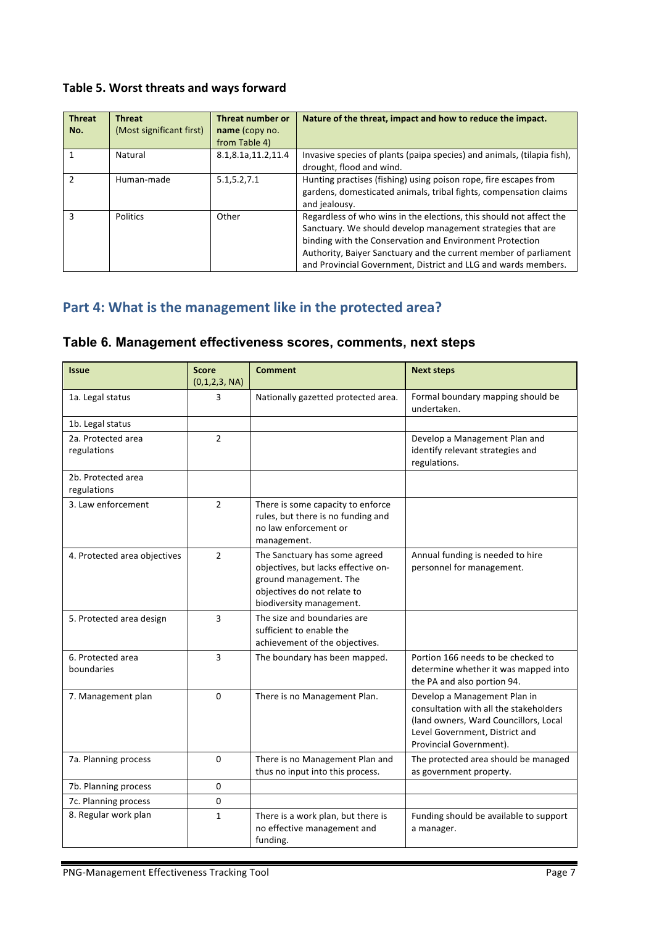## Table 5. Worst threats and ways forward

| <b>Threat</b><br>No. | <b>Threat</b><br>(Most significant first) | <b>Threat number or</b><br>name (copy no. | Nature of the threat, impact and how to reduce the impact.                                                                                                                                                                                                                                                                           |
|----------------------|-------------------------------------------|-------------------------------------------|--------------------------------------------------------------------------------------------------------------------------------------------------------------------------------------------------------------------------------------------------------------------------------------------------------------------------------------|
|                      |                                           | from Table 4)                             |                                                                                                                                                                                                                                                                                                                                      |
|                      | Natural                                   | 8.1,8.1a,11.2,11.4                        | Invasive species of plants (paipa species) and animals, (tilapia fish),<br>drought, flood and wind.                                                                                                                                                                                                                                  |
| $\mathfrak{p}$       | Human-made                                | 5.1, 5.2, 7.1                             | Hunting practises (fishing) using poison rope, fire escapes from<br>gardens, domesticated animals, tribal fights, compensation claims<br>and jealousy.                                                                                                                                                                               |
| $\mathbf{a}$         | <b>Politics</b>                           | Other                                     | Regardless of who wins in the elections, this should not affect the<br>Sanctuary. We should develop management strategies that are<br>binding with the Conservation and Environment Protection<br>Authority, Baiyer Sanctuary and the current member of parliament<br>and Provincial Government, District and LLG and wards members. |

## Part 4: What is the management like in the protected area?

### **Table 6. Management effectiveness scores, comments, next steps**

| <b>Issue</b>                      | <b>Score</b><br>(0,1,2,3, NA) | <b>Comment</b>                                                                                                                                            | <b>Next steps</b>                                                                                                                                                            |
|-----------------------------------|-------------------------------|-----------------------------------------------------------------------------------------------------------------------------------------------------------|------------------------------------------------------------------------------------------------------------------------------------------------------------------------------|
| 1a. Legal status                  | 3                             | Nationally gazetted protected area.                                                                                                                       | Formal boundary mapping should be<br>undertaken.                                                                                                                             |
| 1b. Legal status                  |                               |                                                                                                                                                           |                                                                                                                                                                              |
| 2a. Protected area<br>regulations | $\overline{2}$                |                                                                                                                                                           | Develop a Management Plan and<br>identify relevant strategies and<br>regulations.                                                                                            |
| 2b. Protected area<br>regulations |                               |                                                                                                                                                           |                                                                                                                                                                              |
| 3. Law enforcement                | $\overline{2}$                | There is some capacity to enforce<br>rules, but there is no funding and<br>no law enforcement or<br>management.                                           |                                                                                                                                                                              |
| 4. Protected area objectives      | $\overline{2}$                | The Sanctuary has some agreed<br>objectives, but lacks effective on-<br>ground management. The<br>objectives do not relate to<br>biodiversity management. | Annual funding is needed to hire<br>personnel for management.                                                                                                                |
| 5. Protected area design          | 3                             | The size and boundaries are<br>sufficient to enable the<br>achievement of the objectives.                                                                 |                                                                                                                                                                              |
| 6. Protected area<br>boundaries   | 3                             | The boundary has been mapped.                                                                                                                             | Portion 166 needs to be checked to<br>determine whether it was mapped into<br>the PA and also portion 94.                                                                    |
| 7. Management plan                | $\Omega$                      | There is no Management Plan.                                                                                                                              | Develop a Management Plan in<br>consultation with all the stakeholders<br>(land owners, Ward Councillors, Local<br>Level Government, District and<br>Provincial Government). |
| 7a. Planning process              | $\Omega$                      | There is no Management Plan and<br>thus no input into this process.                                                                                       | The protected area should be managed<br>as government property.                                                                                                              |
| 7b. Planning process              | $\Omega$                      |                                                                                                                                                           |                                                                                                                                                                              |
| 7c. Planning process              | 0                             |                                                                                                                                                           |                                                                                                                                                                              |
| 8. Regular work plan              | $\mathbf{1}$                  | There is a work plan, but there is<br>no effective management and<br>funding.                                                                             | Funding should be available to support<br>a manager.                                                                                                                         |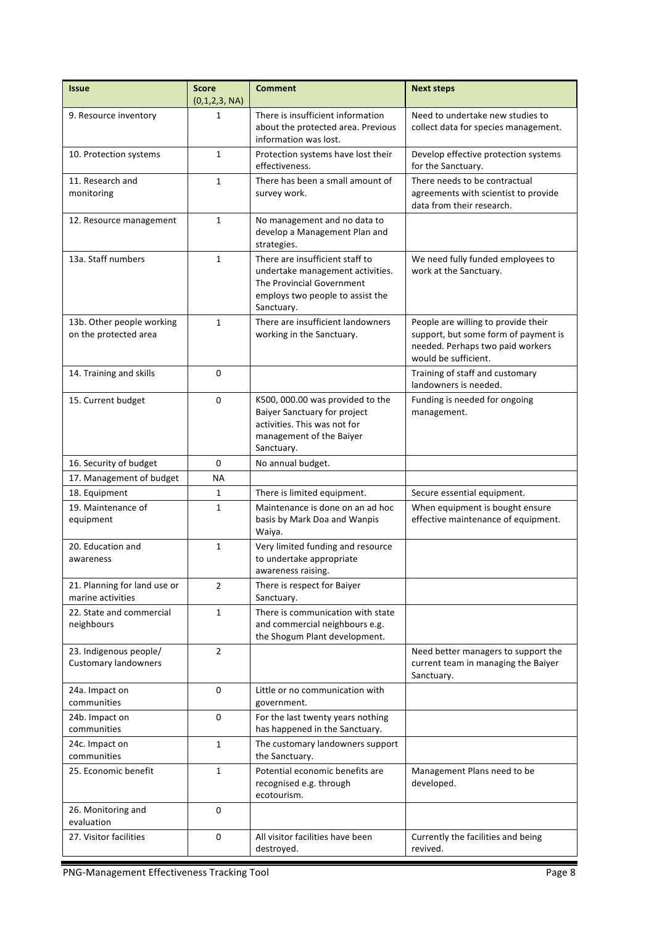| <b>Issue</b>                                          | <b>Score</b><br>(0,1,2,3, NA) | <b>Comment</b>                                                                                                                                     | <b>Next steps</b>                                                                                                                       |
|-------------------------------------------------------|-------------------------------|----------------------------------------------------------------------------------------------------------------------------------------------------|-----------------------------------------------------------------------------------------------------------------------------------------|
| 9. Resource inventory                                 | 1                             | There is insufficient information<br>about the protected area. Previous<br>information was lost.                                                   | Need to undertake new studies to<br>collect data for species management.                                                                |
| 10. Protection systems                                | $\mathbf{1}$                  | Protection systems have lost their<br>effectiveness.                                                                                               | Develop effective protection systems<br>for the Sanctuary.                                                                              |
| 11. Research and<br>monitoring                        | $\mathbf{1}$                  | There has been a small amount of<br>survey work.                                                                                                   | There needs to be contractual<br>agreements with scientist to provide<br>data from their research.                                      |
| 12. Resource management                               | $\mathbf{1}$                  | No management and no data to<br>develop a Management Plan and<br>strategies.                                                                       |                                                                                                                                         |
| 13a. Staff numbers                                    | $\mathbf{1}$                  | There are insufficient staff to<br>undertake management activities.<br>The Provincial Government<br>employs two people to assist the<br>Sanctuary. | We need fully funded employees to<br>work at the Sanctuary.                                                                             |
| 13b. Other people working<br>on the protected area    | $\mathbf{1}$                  | There are insufficient landowners<br>working in the Sanctuary.                                                                                     | People are willing to provide their<br>support, but some form of payment is<br>needed. Perhaps two paid workers<br>would be sufficient. |
| 14. Training and skills                               | 0                             |                                                                                                                                                    | Training of staff and customary<br>landowners is needed.                                                                                |
| 15. Current budget                                    | 0                             | K500, 000.00 was provided to the<br>Baiyer Sanctuary for project<br>activities. This was not for<br>management of the Baiyer<br>Sanctuary.         | Funding is needed for ongoing<br>management.                                                                                            |
| 16. Security of budget                                | 0                             | No annual budget.                                                                                                                                  |                                                                                                                                         |
| 17. Management of budget                              | ΝA                            |                                                                                                                                                    |                                                                                                                                         |
| 18. Equipment                                         | 1                             | There is limited equipment.                                                                                                                        | Secure essential equipment.                                                                                                             |
| 19. Maintenance of<br>equipment                       | 1                             | Maintenance is done on an ad hoc<br>basis by Mark Doa and Wanpis<br>Waiya.                                                                         | When equipment is bought ensure<br>effective maintenance of equipment.                                                                  |
| 20. Education and<br>awareness                        | $\mathbf{1}$                  | Very limited funding and resource<br>to undertake appropriate<br>awareness raising.                                                                |                                                                                                                                         |
| 21. Planning for land use or<br>marine activities     | $\overline{2}$                | There is respect for Baiyer<br>Sanctuary.                                                                                                          |                                                                                                                                         |
| 22. State and commercial<br>neighbours                | $\mathbf{1}$                  | There is communication with state<br>and commercial neighbours e.g.<br>the Shogum Plant development.                                               |                                                                                                                                         |
| 23. Indigenous people/<br><b>Customary landowners</b> | $\overline{2}$                |                                                                                                                                                    | Need better managers to support the<br>current team in managing the Baiyer<br>Sanctuary.                                                |
| 24a. Impact on<br>communities                         | 0                             | Little or no communication with<br>government.                                                                                                     |                                                                                                                                         |
| 24b. Impact on<br>communities                         | 0                             | For the last twenty years nothing<br>has happened in the Sanctuary.                                                                                |                                                                                                                                         |
| 24c. Impact on<br>communities                         | $\mathbf{1}$                  | The customary landowners support<br>the Sanctuary.                                                                                                 |                                                                                                                                         |
| 25. Economic benefit                                  | $\mathbf{1}$                  | Potential economic benefits are<br>recognised e.g. through<br>ecotourism.                                                                          | Management Plans need to be<br>developed.                                                                                               |
| 26. Monitoring and                                    | 0                             |                                                                                                                                                    |                                                                                                                                         |
| evaluation                                            |                               |                                                                                                                                                    |                                                                                                                                         |
| 27. Visitor facilities                                | 0                             | All visitor facilities have been<br>destroyed.                                                                                                     | Currently the facilities and being<br>revived.                                                                                          |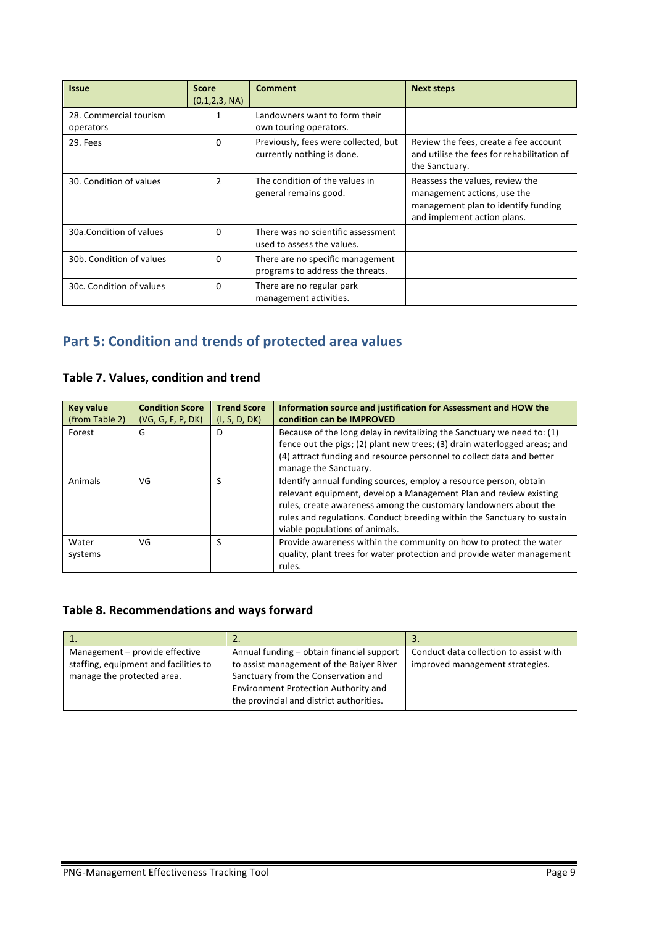| <b>Issue</b>                        | <b>Score</b><br>(0,1,2,3, NA) | <b>Comment</b>                                                       | <b>Next steps</b>                                                                                                                    |
|-------------------------------------|-------------------------------|----------------------------------------------------------------------|--------------------------------------------------------------------------------------------------------------------------------------|
| 28. Commercial tourism<br>operators | 1                             | Landowners want to form their<br>own touring operators.              |                                                                                                                                      |
| 29. Fees                            | $\mathbf{0}$                  | Previously, fees were collected, but<br>currently nothing is done.   | Review the fees, create a fee account<br>and utilise the fees for rehabilitation of<br>the Sanctuary.                                |
| 30. Condition of values             | 2                             | The condition of the values in<br>general remains good.              | Reassess the values, review the<br>management actions, use the<br>management plan to identify funding<br>and implement action plans. |
| 30a.Condition of values             | $\Omega$                      | There was no scientific assessment<br>used to assess the values.     |                                                                                                                                      |
| 30b. Condition of values            | 0                             | There are no specific management<br>programs to address the threats. |                                                                                                                                      |
| 30c. Condition of values            | $\Omega$                      | There are no regular park<br>management activities.                  |                                                                                                                                      |

## **Part 5: Condition and trends of protected area values**

### **Table 7. Values, condition and trend**

| <b>Key value</b> | <b>Condition Score</b> | <b>Trend Score</b> | Information source and justification for Assessment and HOW the                                                                                                                                                                                                                                                         |
|------------------|------------------------|--------------------|-------------------------------------------------------------------------------------------------------------------------------------------------------------------------------------------------------------------------------------------------------------------------------------------------------------------------|
| (from Table 2)   | (VG, G, F, P, DK)      | (I, S, D, DK)      | condition can be IMPROVED                                                                                                                                                                                                                                                                                               |
| Forest           | G                      | D                  | Because of the long delay in revitalizing the Sanctuary we need to: (1)<br>fence out the pigs; (2) plant new trees; (3) drain waterlogged areas; and<br>(4) attract funding and resource personnel to collect data and better<br>manage the Sanctuary.                                                                  |
| Animals          | VG                     | <b>S</b>           | Identify annual funding sources, employ a resource person, obtain<br>relevant equipment, develop a Management Plan and review existing<br>rules, create awareness among the customary landowners about the<br>rules and regulations. Conduct breeding within the Sanctuary to sustain<br>viable populations of animals. |
| Water<br>systems | VG                     | <b>S</b>           | Provide awareness within the community on how to protect the water<br>quality, plant trees for water protection and provide water management<br>rules.                                                                                                                                                                  |

## **Table 8. Recommendations and ways forward**

|                                                                                                       | L.                                                                                                                                                                          |                                                                           |
|-------------------------------------------------------------------------------------------------------|-----------------------------------------------------------------------------------------------------------------------------------------------------------------------------|---------------------------------------------------------------------------|
| Management - provide effective<br>staffing, equipment and facilities to<br>manage the protected area. | Annual funding – obtain financial support<br>to assist management of the Baiyer River<br>Sanctuary from the Conservation and<br><b>Environment Protection Authority and</b> | Conduct data collection to assist with<br>improved management strategies. |
|                                                                                                       | the provincial and district authorities.                                                                                                                                    |                                                                           |